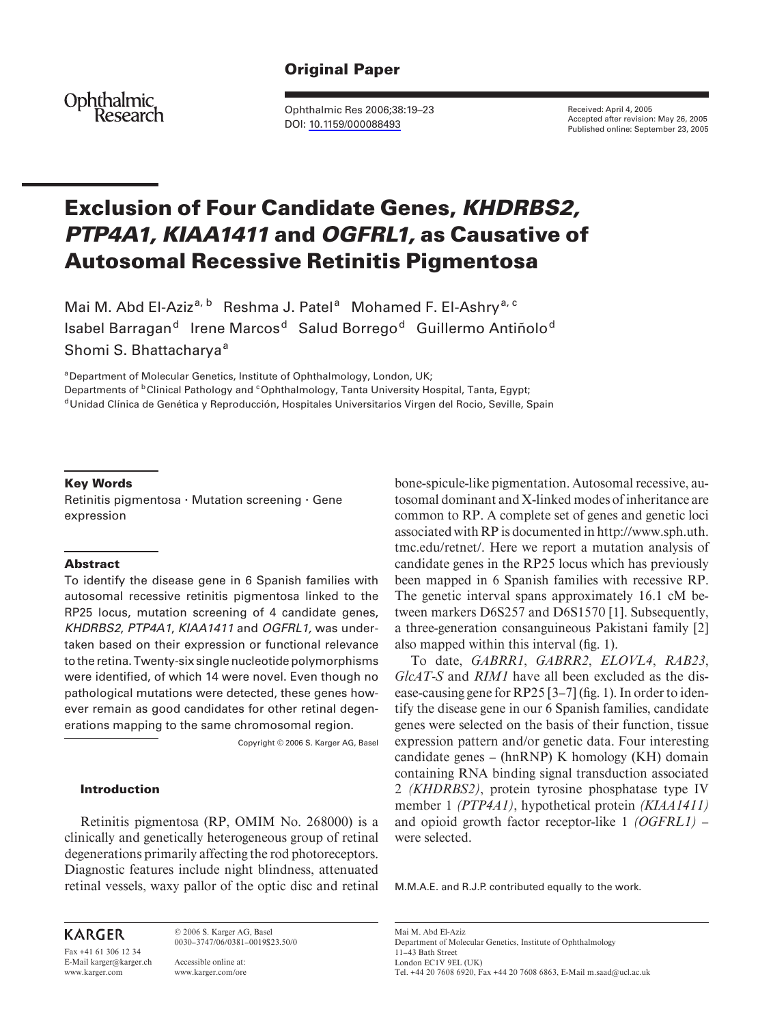# **Original Paper**

Ophthalmic<br>Research

Ophthalmic Res 2006;38:19–23 DOI: [10.1159/000088493](http://dx.doi.org/10.1159%2F000088493)

Received: April 4, 2005 Accepted after revision: May 26, 2005 Published online: September 23, 2005

# **Exclusion of Four Candidate Genes,** *KHDRBS2, PTP4A1, KIAA1411* **and** *OGFRL1,* **as Causative of Autosomal Recessive Retinitis Pigmentosa**

Mai M. Abd El-Aziz<sup>a, b</sup> Reshma J. Patel<sup>a</sup> Mohamed F. El-Ashry<sup>a, c</sup> Isabel Barragan<sup>d</sup> Irene Marcos<sup>d</sup> Salud Borrego<sup>d</sup> Guillermo Antiñolo<sup>d</sup> Shomi S. Bhattacharya<sup>a</sup>

<sup>a</sup> Department of Molecular Genetics, Institute of Ophthalmology, London, UK;

Departments of <sup>b</sup>Clinical Pathology and <sup>c</sup>Ophthalmology, Tanta University Hospital, Tanta, Egypt; <sup>d</sup> Unidad Clínica de Genética y Reproducción, Hospitales Universitarios Virgen del Rocio, Seville, Spain

#### **Key Words**

Retinitis pigmentosa  $\cdot$  Mutation screening  $\cdot$  Gene expression

#### **Abstract**

To identify the disease gene in 6 Spanish families with autosomal recessive retinitis pigmentosa linked to the RP25 locus, mutation screening of 4 candidate genes, *KHDRBS2* , *PTP4A1* , *KIAA1411* and *OGFRL1,* was undertaken based on their expression or functional relevance to the retina. Twenty-six single nucleotide polymorphisms were identified, of which 14 were novel. Even though no pathological mutations were detected, these genes however remain as good candidates for other retinal degenerations mapping to the same chromosomal region.

Copyright © 2006 S. Karger AG, Basel

#### **Introduction**

Retinitis pigmentosa (RP, OMIM No. 268000) is a clinically and genetically heterogeneous group of retinal degenerations primarily affecting the rod photoreceptors. Diagnostic features include night blindness, attenuated retinal vessels, waxy pallor of the optic disc and retinal

**KARGER** 

Fax +41 61 306 12 34 E-Mail karger@karger.ch www.karger.com

© 2006 S. Karger AG, Basel 0030–3747/06/0381–0019\$23.50/0

Accessible online at: www.karger.com/ore bone-spicule-like pigmentation. Autosomal recessive, autosomal dominant and X-linked modes of inheritance are common to RP. A complete set of genes and genetic loci associated with RP is documented in http://www.sph.uth. tmc.edu/retnet/. Here we report a mutation analysis of candidate genes in the RP25 locus which has previously been mapped in 6 Spanish families with recessive RP. The genetic interval spans approximately 16.1 cM between markers D6S257 and D6S1570 [1]. Subsequently, a three-generation consanguineous Pakistani family [2] also mapped within this interval (fig. 1).

To date, *GABRR1* , *GABRR2* , *ELOVL4* , *RAB23* , *GlcAT-S* and *RIM1* have all been excluded as the disease-causing gene for RP25  $[3-7]$  (fig. 1). In order to identify the disease gene in our 6 Spanish families, candidate genes were selected on the basis of their function, tissue expression pattern and/or genetic data. Four interesting candidate genes – (hnRNP) K homology (KH) domain containing RNA binding signal transduction associated 2 *(KHDRBS2)* , protein tyrosine phosphatase type IV member 1 *(PTP4A1)* , hypothetical protein *(KIAA1411)*  and opioid growth factor receptor-like 1 *(OGFRL1)* – were selected.

M.M.A.E. and R.J.P. contributed equally to the work.

Mai M. Abd El-Aziz Department of Molecular Genetics, Institute of Ophthalmology 11–43 Bath Street London EC1V 9EL (UK) Tel. +44 20 7608 6920, Fax +44 20 7608 6863, E-Mail m.saad@ucl.ac.uk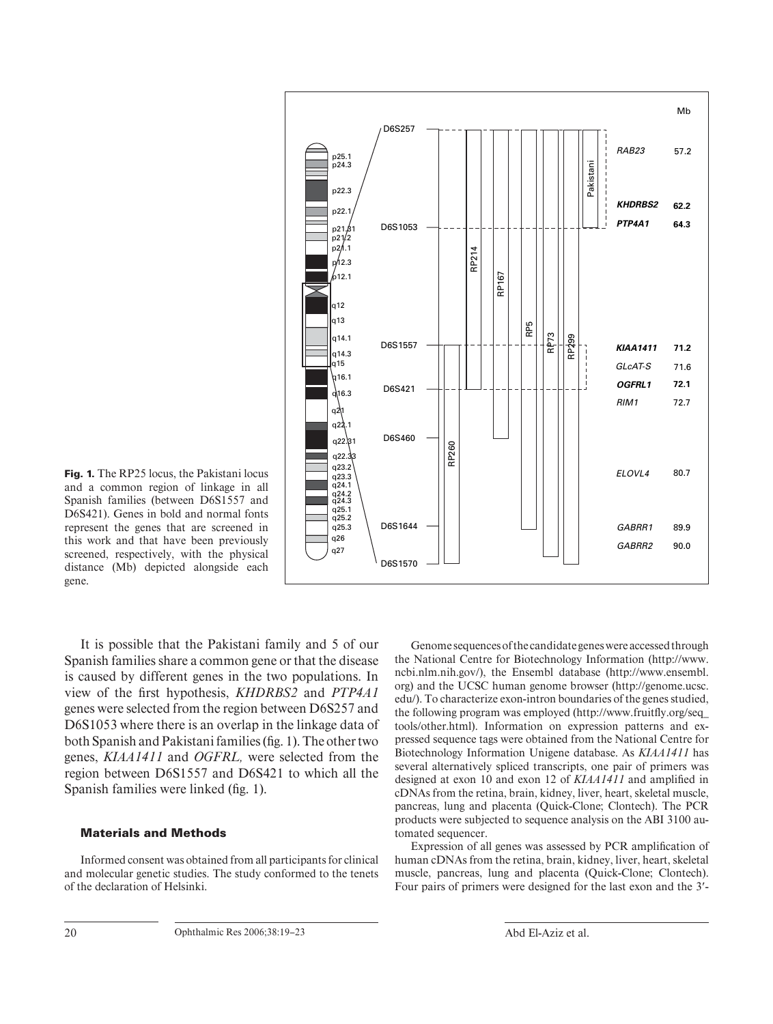

**Fig. 1.** The RP25 locus, the Pakistani locus and a common region of linkage in all Spanish families (between D6S1557 and D6S421). Genes in bold and normal fonts represent the genes that are screened in this work and that have been previously screened, respectively, with the physical distance (Mb) depicted alongside each gene.

It is possible that the Pakistani family and 5 of our Spanish families share a common gene or that the disease is caused by different genes in the two populations. In view of the first hypothesis, *KHDRBS2* and *PTP4A1* genes were selected from the region between D6S257 and D6S1053 where there is an overlap in the linkage data of both Spanish and Pakistani families (fig. 1). The other two genes, *KIAA1411* and *OGFRL,* were selected from the region between D6S1557 and D6S421 to which all the Spanish families were linked (fig. 1).

#### **Materials and Methods**

Informed consent was obtained from all participants for clinical and molecular genetic studies. The study conformed to the tenets of the declaration of Helsinki.

Genome sequences of the candidate genes were accessed through the National Centre for Biotechnology Information (http://www. ncbi.nlm.nih.gov/), the Ensembl database (http://www.ensembl. org) and the UCSC human genome browser (http://genome.ucsc. edu/). To characterize exon-intron boundaries of the genes studied, the following program was employed (http://www.fruitfly.org/seq\_ tools/other.html). Information on expression patterns and expressed sequence tags were obtained from the National Centre for Biotechnology Information Unigene database. As *KIAA1411* has several alternatively spliced transcripts, one pair of primers was designed at exon 10 and exon 12 of **KIAA1411** and amplified in cDNAs from the retina, brain, kidney, liver, heart, skeletal muscle, pancreas, lung and placenta (Quick-Clone; Clontech). The PCR products were subjected to sequence analysis on the ABI 3100 automated sequencer.

Expression of all genes was assessed by PCR amplification of human cDNAs from the retina, brain, kidney, liver, heart, skeletal muscle, pancreas, lung and placenta (Quick-Clone; Clontech). Four pairs of primers were designed for the last exon and the 3'-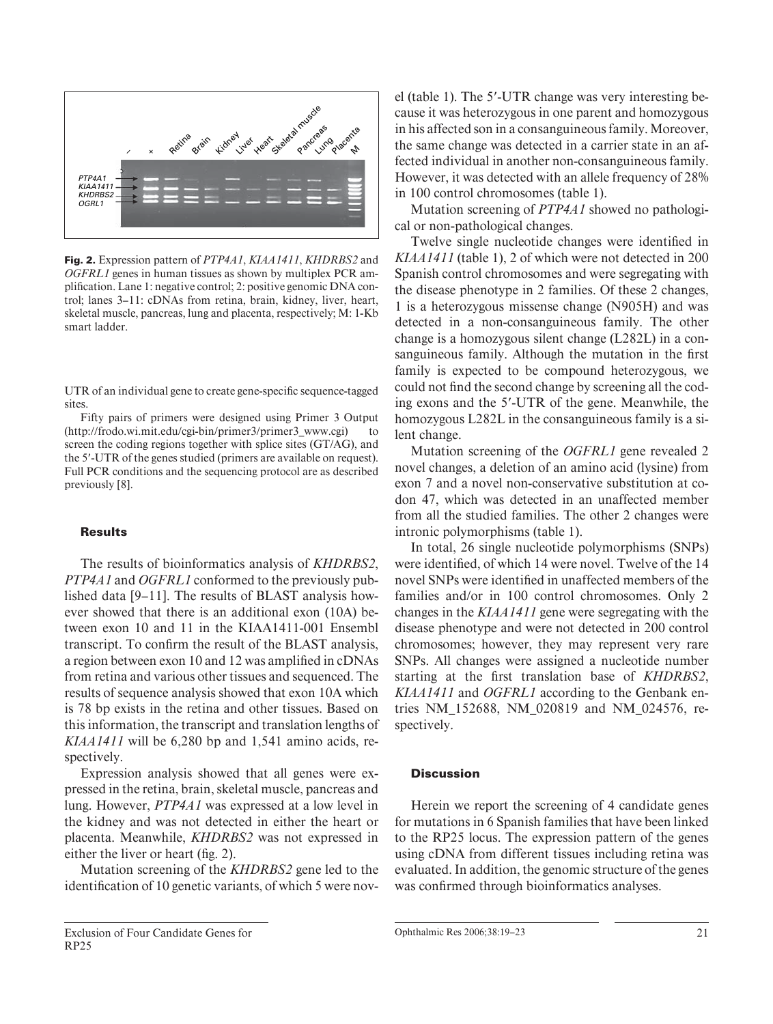

**Fig. 2.** Expression pattern of *PTP4A1* , *KIAA1411* , *KHDRBS2* and *OGFRL1* genes in human tissues as shown by multiplex PCR amplification. Lane 1: negative control; 2: positive genomic DNA control; lanes 3–11: cDNAs from retina, brain, kidney, liver, heart, skeletal muscle, pancreas, lung and placenta, respectively; M: 1-Kb smart ladder.

UTR of an individual gene to create gene-specific sequence-tagged sites.

Fifty pairs of primers were designed using Primer 3 Output (http://frodo.wi.mit.edu/cgi-bin/primer3/primer3\_www.cgi) to screen the coding regions together with splice sites (GT/AG), and the 5'-UTR of the genes studied (primers are available on request). Full PCR conditions and the sequencing protocol are as described previously [8].

#### **Results**

The results of bioinformatics analysis of *KHDRBS2* , *PTP4A1* and *OGFRL1* conformed to the previously published data [9–11]. The results of BLAST analysis however showed that there is an additional exon (10A) between exon 10 and 11 in the KIAA1411-001 Ensembl transcript. To confirm the result of the BLAST analysis, a region between exon 10 and 12 was amplified in cDNAs from retina and various other tissues and sequenced. The results of sequence analysis showed that exon 10A which is 78 bp exists in the retina and other tissues. Based on this information, the transcript and translation lengths of *KIAA1411* will be 6,280 bp and 1,541 amino acids, respectively.

Expression analysis showed that all genes were expressed in the retina, brain, skeletal muscle, pancreas and lung. However, *PTP4A1* was expressed at a low level in the kidney and was not detected in either the heart or placenta. Meanwhile, *KHDRBS2* was not expressed in either the liver or heart (fig. 2).

Mutation screening of the *KHDRBS2* gene led to the identification of 10 genetic variants, of which 5 were nov-

el (table 1). The 5'-UTR change was very interesting because it was heterozygous in one parent and homozygous in his affected son in a consanguineous family. Moreover, the same change was detected in a carrier state in an affected individual in another non-consanguineous family. However, it was detected with an allele frequency of 28% in 100 control chromosomes (table 1).

Mutation screening of *PTP4A1* showed no pathological or non-pathological changes.

Twelve single nucleotide changes were identified in *KIAA1411* (table 1), 2 of which were not detected in 200 Spanish control chromosomes and were segregating with the disease phenotype in 2 families. Of these 2 changes, 1 is a heterozygous missense change (N905H) and was detected in a non-consanguineous family. The other change is a homozygous silent change (L282L) in a consanguineous family. Although the mutation in the first family is expected to be compound heterozygous, we could not find the second change by screening all the coding exons and the 5'-UTR of the gene. Meanwhile, the homozygous L282L in the consanguineous family is a silent change.

Mutation screening of the *OGFRL1* gene revealed 2 novel changes, a deletion of an amino acid (lysine) from exon 7 and a novel non-conservative substitution at codon 47, which was detected in an unaffected member from all the studied families. The other 2 changes were intronic polymorphisms (table 1).

In total, 26 single nucleotide polymorphisms (SNPs) were identified, of which 14 were novel. Twelve of the 14 novel SNPs were identified in unaffected members of the families and/or in 100 control chromosomes. Only 2 changes in the *KIAA1411* gene were segregating with the disease phenotype and were not detected in 200 control chromosomes; however, they may represent very rare SNPs. All changes were assigned a nucleotide number starting at the first translation base of *KHDRBS2*, *KIAA1411* and *OGFRL1* according to the Genbank entries NM\_152688, NM\_020819 and NM\_024576, respectively.

## **Discussion**

Herein we report the screening of 4 candidate genes for mutations in 6 Spanish families that have been linked to the RP25 locus. The expression pattern of the genes using cDNA from different tissues including retina was evaluated. In addition, the genomic structure of the genes was confirmed through bioinformatics analyses.

Ophthalmic Res 2006;38:19–23 21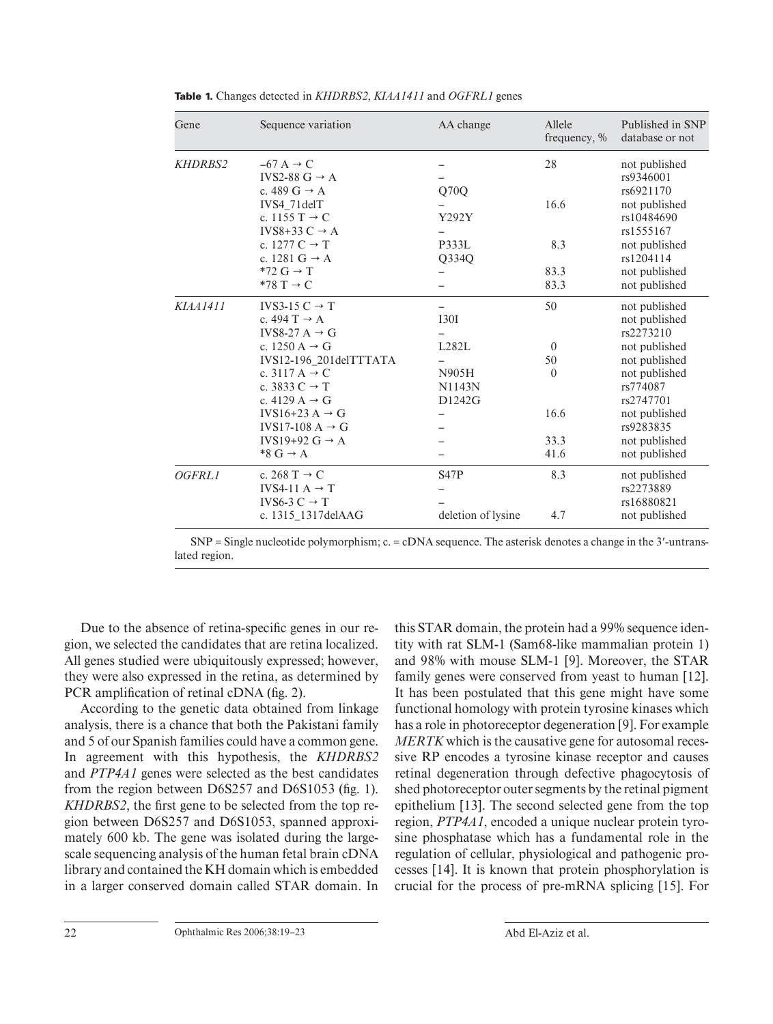| Gene            | Sequence variation                   | AA change          | Allele<br>frequency, % | Published in SNP<br>database or not |
|-----------------|--------------------------------------|--------------------|------------------------|-------------------------------------|
| <b>KHDRBS2</b>  | $-67$ A $\rightarrow$ C              |                    | 28                     | not published                       |
|                 | IVS2-88 $G \rightarrow A$            |                    |                        | rs9346001                           |
|                 | c. 489 $G \rightarrow A$             | Q70Q               |                        | rs6921170                           |
|                 | IVS4 71delT                          |                    | 16.6                   | not published                       |
|                 | c. 1155 $T \rightarrow C$            | Y292Y              |                        | rs10484690                          |
|                 | IVS8+33 C $\rightarrow$ A            |                    |                        | rs1555167                           |
|                 | c. 1277 $C \rightarrow T$            | P333L              | 8.3                    | not published                       |
|                 | c. 1281 G $\rightarrow$ A            | Q334Q              |                        | rs1204114                           |
|                 | $*72 \text{ G} \rightarrow \text{T}$ |                    | 83.3                   | not published                       |
|                 | $*78 T \rightarrow C$                |                    | 83.3                   | not published                       |
| <b>KIAA1411</b> | IVS3-15 $C \rightarrow T$            |                    | 50                     | not published                       |
|                 | c. 494 T $\rightarrow$ A             | <b>I30I</b>        |                        | not published                       |
|                 | IVS8-27 A $\rightarrow$ G            |                    |                        | rs2273210                           |
|                 | c. 1250 A $\rightarrow$ G            | L282L              | $\Omega$               | not published                       |
|                 | IVS12-196_201delTTTATA               |                    | 50                     | not published                       |
|                 | c. 3117 A $\rightarrow$ C            | N905H              | $\Omega$               | not published                       |
|                 | c. 3833 $C \rightarrow T$            | N1143N             |                        | rs774087                            |
|                 | c. 4129 A $\rightarrow$ G            | D1242G             |                        | rs2747701                           |
|                 | IVS16+23 A $\rightarrow$ G           |                    | 16.6                   | not published                       |
|                 | IVS17-108 A $\rightarrow$ G          |                    |                        | rs9283835                           |
|                 | IVS19+92 $G \rightarrow A$           |                    | 33.3                   | not published                       |
|                 | $*8 G \rightarrow A$                 |                    | 41.6                   | not published                       |
| OGFRL1          | c. 268 T $\rightarrow$ C             | S47P               | 8.3                    | not published                       |
|                 | IVS4-11 $A \rightarrow T$            |                    |                        | rs2273889                           |
|                 | IVS6-3 $C \rightarrow T$             |                    |                        | rs16880821                          |
|                 | c. 1315_1317delAAG                   | deletion of lysine | 4.7                    | not published                       |

**Table 1.** Changes detected in *KHDRBS2*, *KIAA1411* and *OGFRL1* genes

 $SNP = Single nucleotide polymorphism; c. = cDNA sequence. The asterisk denotes a change in the 3'-untrans$ lated region.

Due to the absence of retina-specific genes in our region, we selected the candidates that are retina localized. All genes studied were ubiquitously expressed; however, they were also expressed in the retina, as determined by PCR amplification of retinal cDNA (fig. 2).

According to the genetic data obtained from linkage analysis, there is a chance that both the Pakistani family and 5 of our Spanish families could have a common gene. In agreement with this hypothesis, the *KHDRBS2*  and *PTP4A1* genes were selected as the best candidates from the region between  $D6S257$  and  $D6S1053$  (fig. 1). *KHDRBS2*, the first gene to be selected from the top region between D6S257 and D6S1053, spanned approximately 600 kb. The gene was isolated during the largescale sequencing analysis of the human fetal brain cDNA library and contained the KH domain which is embedded in a larger conserved domain called STAR domain. In this STAR domain, the protein had a 99% sequence identity with rat SLM-1 (Sam68-like mammalian protein 1) and 98% with mouse SLM-1 [9]. Moreover, the STAR family genes were conserved from yeast to human [12]. It has been postulated that this gene might have some functional homology with protein tyrosine kinases which has a role in photoreceptor degeneration [9]. For example *MERTK* which is the causative gene for autosomal recessive RP encodes a tyrosine kinase receptor and causes retinal degeneration through defective phagocytosis of shed photoreceptor outer segments by the retinal pigment epithelium [13]. The second selected gene from the top region, *PTP4A1* ,encoded a unique nuclear protein tyrosine phosphatase which has a fundamental role in the regulation of cellular, physiological and pathogenic processes [14]. It is known that protein phosphorylation is crucial for the process of pre-mRNA splicing [15] . For